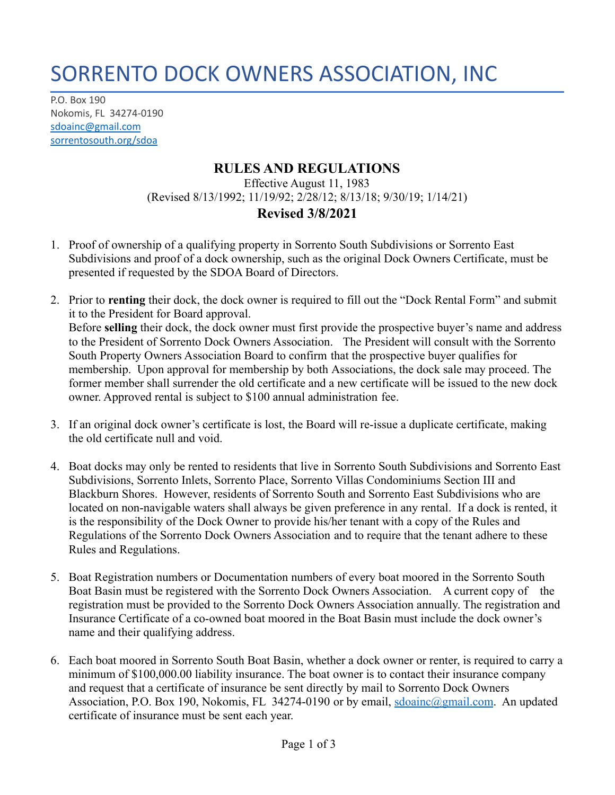## SORRENTO DOCK OWNERS ASSOCIATION, INC

P.O. Box 190 Nokomis, FL 34274-0190 [sdoainc@gmail.com](mailto:sdoainc@gmail.com) sorrentosouth.org/sdoa

## **RULES AND REGULATIONS**

Effective August 11, 1983 (Revised 8/13/1992; 11/19/92; 2/28/12; 8/13/18; 9/30/19; 1/14/21)

## **Revised 3/8/2021**

- 1. Proof of ownership of a qualifying property in Sorrento South Subdivisions or Sorrento East Subdivisions and proof of a dock ownership, such as the original Dock Owners Certificate, must be presented if requested by the SDOA Board of Directors.
- 2. Prior to **renting** their dock, the dock owner is required to fill out the "Dock Rental Form" and submit it to the President for Board approval. Before **selling** their dock, the dock owner must first provide the prospective buyer's name and address to the President of Sorrento Dock Owners Association. The President will consult with the Sorrento South Property Owners Association Board to confirm that the prospective buyer qualifies for membership. Upon approval for membership by both Associations, the dock sale may proceed. The former member shall surrender the old certificate and a new certificate will be issued to the new dock owner. Approved rental is subject to \$100 annual administration fee.
- 3. If an original dock owner's certificate is lost, the Board will re-issue a duplicate certificate, making the old certificate null and void.
- 4. Boat docks may only be rented to residents that live in Sorrento South Subdivisions and Sorrento East Subdivisions, Sorrento Inlets, Sorrento Place, Sorrento Villas Condominiums Section III and Blackburn Shores. However, residents of Sorrento South and Sorrento East Subdivisions who are located on non-navigable waters shall always be given preference in any rental. If a dock is rented, it is the responsibility of the Dock Owner to provide his/her tenant with a copy of the Rules and Regulations of the Sorrento Dock Owners Association and to require that the tenant adhere to these Rules and Regulations.
- 5. Boat Registration numbers or Documentation numbers of every boat moored in the Sorrento South Boat Basin must be registered with the Sorrento Dock Owners Association. A current copy of the registration must be provided to the Sorrento Dock Owners Association annually. The registration and Insurance Certificate of a co-owned boat moored in the Boat Basin must include the dock owner's name and their qualifying address.
- 6. Each boat moored in Sorrento South Boat Basin, whether a dock owner or renter, is required to carry a minimum of \$100,000.00 liability insurance. The boat owner is to contact their insurance company and request that a certificate of insurance be sent directly by mail to Sorrento Dock Owners Association, P.O. Box 190, Nokomis, FL 34274-0190 or by email, [sdoainc@gmail.com](mailto:sdoainc@gmail.com). An updated certificate of insurance must be sent each year.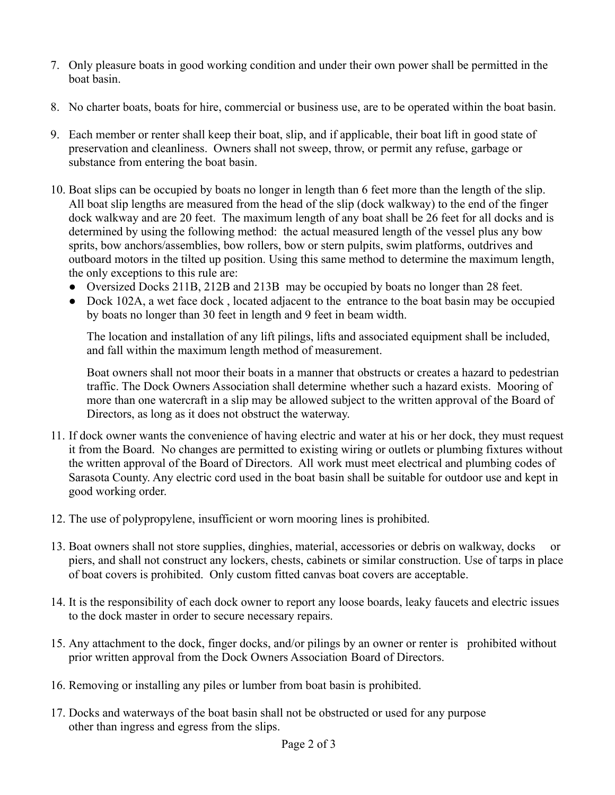- 7. Only pleasure boats in good working condition and under their own power shall be permitted in the boat basin.
- 8. No charter boats, boats for hire, commercial or business use, are to be operated within the boat basin.
- 9. Each member or renter shall keep their boat, slip, and if applicable, their boat lift in good state of preservation and cleanliness. Owners shall not sweep, throw, or permit any refuse, garbage or substance from entering the boat basin.
- 10. Boat slips can be occupied by boats no longer in length than 6 feet more than the length of the slip. All boat slip lengths are measured from the head of the slip (dock walkway) to the end of the finger dock walkway and are 20 feet. The maximum length of any boat shall be 26 feet for all docks and is determined by using the following method: the actual measured length of the vessel plus any bow sprits, bow anchors/assemblies, bow rollers, bow or stern pulpits, swim platforms, outdrives and outboard motors in the tilted up position. Using this same method to determine the maximum length, the only exceptions to this rule are:
	- Oversized Docks 211B, 212B and 213B may be occupied by boats no longer than 28 feet.
	- Dock 102A, a wet face dock, located adjacent to the entrance to the boat basin may be occupied by boats no longer than 30 feet in length and 9 feet in beam width.

The location and installation of any lift pilings, lifts and associated equipment shall be included, and fall within the maximum length method of measurement.

Boat owners shall not moor their boats in a manner that obstructs or creates a hazard to pedestrian traffic. The Dock Owners Association shall determine whether such a hazard exists. Mooring of more than one watercraft in a slip may be allowed subject to the written approval of the Board of Directors, as long as it does not obstruct the waterway.

- 11. If dock owner wants the convenience of having electric and water at his or her dock, they must request it from the Board. No changes are permitted to existing wiring or outlets or plumbing fixtures without the written approval of the Board of Directors. All work must meet electrical and plumbing codes of Sarasota County. Any electric cord used in the boat basin shall be suitable for outdoor use and kept in good working order.
- 12. The use of polypropylene, insufficient or worn mooring lines is prohibited.
- 13. Boat owners shall not store supplies, dinghies, material, accessories or debris on walkway, docks or piers, and shall not construct any lockers, chests, cabinets or similar construction. Use of tarps in place of boat covers is prohibited. Only custom fitted canvas boat covers are acceptable.
- 14. It is the responsibility of each dock owner to report any loose boards, leaky faucets and electric issues to the dock master in order to secure necessary repairs.
- 15. Any attachment to the dock, finger docks, and/or pilings by an owner or renter is prohibited without prior written approval from the Dock Owners Association Board of Directors.
- 16. Removing or installing any piles or lumber from boat basin is prohibited.
- 17. Docks and waterways of the boat basin shall not be obstructed or used for any purpose other than ingress and egress from the slips.